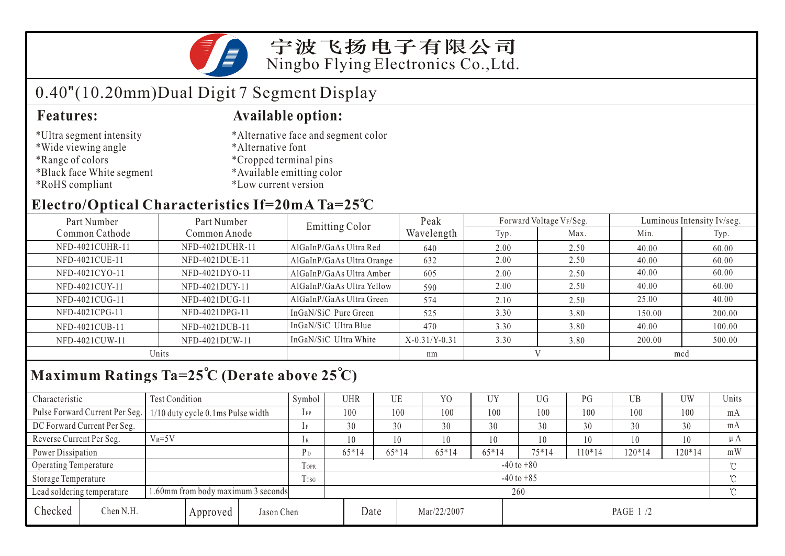

# 0.40"(10.20mm)Dual Digit 7 Segment Display

- \*Ultra segment intensity
- \*Wide viewing angle
- \*Range of colors
- \*Black face White segment
- \*RoHS compliant

### **Features: Available option:**

- \*Alternative face and segment color
- \*Alternative font
- \*Cropped terminal pins
- \*Available emitting color
- \*Low current version

## **Electro/Optical Characteristics If=20mA Ta=25 C**

| Part Number<br>Part Number |                 | <b>Emitting Color</b>     | Peak            |      | Forward Voltage VF/Seg. | Luminous Intensity Iv/seg. |        |  |
|----------------------------|-----------------|---------------------------|-----------------|------|-------------------------|----------------------------|--------|--|
| Common Cathode             | Common Anode    |                           | Wavelength      | Typ. | Max.                    | Min.                       | Typ.   |  |
| NFD-4021CUHR-11            | NFD-4021DUHR-11 | AlGaInP/GaAs Ultra Red    | 640             | 2.00 | 2.50                    | 40.00                      | 60.00  |  |
| NFD-4021CUE-11             | NFD-4021DUE-11  | AlGaInP/GaAs Ultra Orange | 632             | 2.00 | 2.50                    | 40.00                      | 60.00  |  |
| NFD-4021CYO-11             | NFD-4021DYO-11  | AlGaInP/GaAs Ultra Amber  | 605             | 2.00 | 2.50                    | 40.00                      | 60.00  |  |
| NFD-4021CUY-11             | NFD-4021DUY-11  | AlGaInP/GaAs Ultra Yellow | 590             | 2.00 | 2.50                    | 40.00                      | 60.00  |  |
| NFD-4021CUG-11             | NFD-4021DUG-11  | AlGaInP/GaAs Ultra Green  | 574             | 2.10 | 2.50                    | 25.00                      | 40.00  |  |
| NFD-4021CPG-11             | NFD-4021DPG-11  | InGaN/SiC Pure Green      | 525             | 3.30 | 3.80                    | 150.00                     | 200.00 |  |
| NFD-4021CUB-11             | NFD-4021DUB-11  | InGaN/SiC Ultra Blue      | 470             | 3.30 | 3.80                    | 40.00                      | 100.00 |  |
| NFD-4021CUW-11             | NFD-4021DUW-11  | InGaN/SiC Ultra White     | $X-0.31/Y-0.31$ | 3.30 | 3.80                    | 200.00                     | 500.00 |  |
| Units                      |                 |                           | nm              |      |                         | mcd                        |        |  |

## **Maximum Ratings Ta=25 C (Derate above 25 C)**

| Characteristic           |                                                                  | Test Condition                    |                  |                | Symbol         | <b>UHR</b>     |         | UE      | Y <sub>O</sub> | UY      | UG        | PG       | <b>UB</b> | UW  | Units   |
|--------------------------|------------------------------------------------------------------|-----------------------------------|------------------|----------------|----------------|----------------|---------|---------|----------------|---------|-----------|----------|-----------|-----|---------|
|                          | Pulse Forward Current Per Seg.                                   | 1/10 duty cycle 0.1ms Pulse width |                  |                | $_{\rm IFP}$   | 100            |         | 100     | 100            | 100     | 100       | 100      | 100       | 100 | mA      |
|                          | DC Forward Current Per Seg.                                      |                                   | 1F               | 30             |                | 30             | 30      | 30      | 30             | 30      | 30        | 30       | mA        |     |         |
| Reverse Current Per Seg. |                                                                  | $V_R = 5V$                        |                  |                | 1 R            | 10             |         | 10      | 10             | 10      | 10        | 10       | 10        | 10  | $\mu A$ |
|                          | Power Dissipation                                                |                                   |                  | P <sub>D</sub> | $65*14$        |                | $65*14$ | $65*14$ | $65*14$        | $75*14$ | $10*14$   | $120*14$ | $120*14$  | mW  |         |
| Operating Temperature    |                                                                  |                                   |                  | <b>TOPR</b>    |                | $-40$ to $+80$ |         |         |                |         |           |          |           |     |         |
| Storage Temperature      |                                                                  |                                   | T <sub>TSG</sub> |                | $-40$ to $+85$ |                |         |         |                |         |           |          |           |     |         |
|                          | 1.60mm from body maximum 3 seconds<br>Lead soldering temperature |                                   |                  |                |                | 260            |         |         |                |         |           |          |           |     |         |
| Checked                  | Chen N.H.                                                        |                                   | Approved         | Jason Chen     |                |                | Date    |         | Mar/22/2007    |         | PAGE 1 /2 |          |           |     |         |